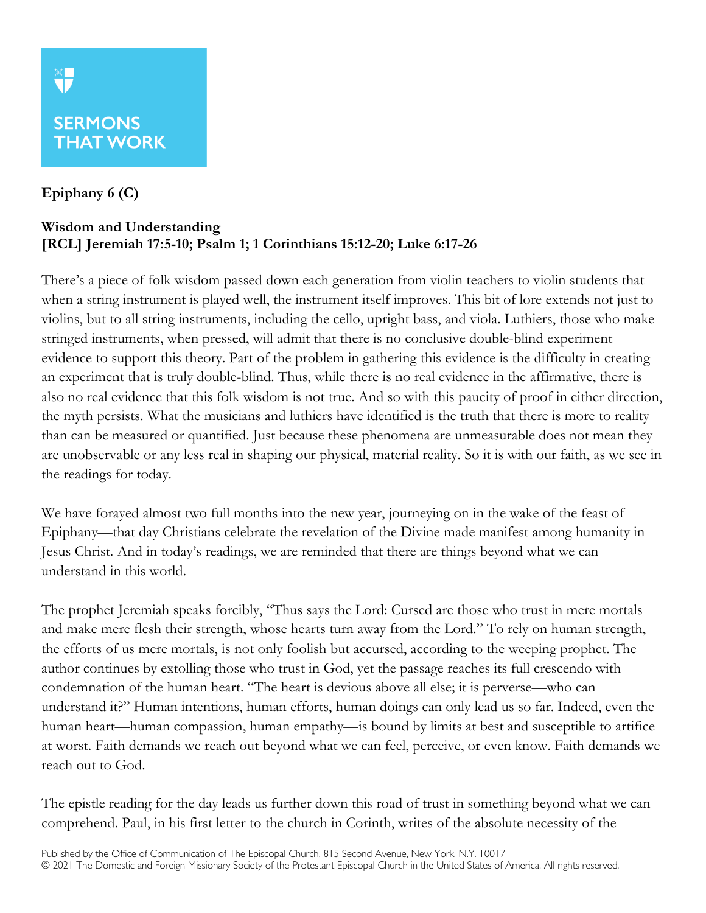## **SERMONS THAT WORK**

## **Epiphany 6 (C)**

X<mark>T</mark>

## **Wisdom and Understanding [RCL] Jeremiah 17:5-10; Psalm 1; 1 Corinthians 15:12-20; Luke 6:17-26**

There's a piece of folk wisdom passed down each generation from violin teachers to violin students that when a string instrument is played well, the instrument itself improves. This bit of lore extends not just to violins, but to all string instruments, including the cello, upright bass, and viola. Luthiers, those who make stringed instruments, when pressed, will admit that there is no conclusive double-blind experiment evidence to support this theory. Part of the problem in gathering this evidence is the difficulty in creating an experiment that is truly double-blind. Thus, while there is no real evidence in the affirmative, there is also no real evidence that this folk wisdom is not true. And so with this paucity of proof in either direction, the myth persists. What the musicians and luthiers have identified is the truth that there is more to reality than can be measured or quantified. Just because these phenomena are unmeasurable does not mean they are unobservable or any less real in shaping our physical, material reality. So it is with our faith, as we see in the readings for today.

We have forayed almost two full months into the new year, journeying on in the wake of the feast of Epiphany—that day Christians celebrate the revelation of the Divine made manifest among humanity in Jesus Christ. And in today's readings, we are reminded that there are things beyond what we can understand in this world.

The prophet Jeremiah speaks forcibly, "Thus says the Lord: Cursed are those who trust in mere mortals and make mere flesh their strength, whose hearts turn away from the Lord." To rely on human strength, the efforts of us mere mortals, is not only foolish but accursed, according to the weeping prophet. The author continues by extolling those who trust in God, yet the passage reaches its full crescendo with condemnation of the human heart. "The heart is devious above all else; it is perverse—who can understand it?" Human intentions, human efforts, human doings can only lead us so far. Indeed, even the human heart—human compassion, human empathy—is bound by limits at best and susceptible to artifice at worst. Faith demands we reach out beyond what we can feel, perceive, or even know. Faith demands we reach out to God.

The epistle reading for the day leads us further down this road of trust in something beyond what we can comprehend. Paul, in his first letter to the church in Corinth, writes of the absolute necessity of the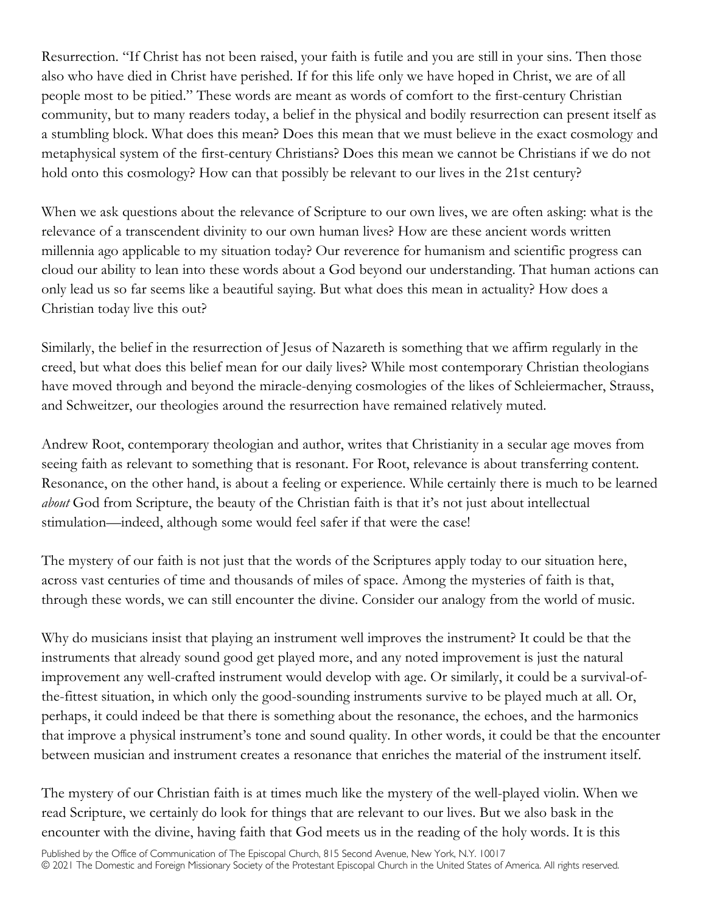Resurrection. "If Christ has not been raised, your faith is futile and you are still in your sins. Then those also who have died in Christ have perished. If for this life only we have hoped in Christ, we are of all people most to be pitied." These words are meant as words of comfort to the first-century Christian community, but to many readers today, a belief in the physical and bodily resurrection can present itself as a stumbling block. What does this mean? Does this mean that we must believe in the exact cosmology and metaphysical system of the first-century Christians? Does this mean we cannot be Christians if we do not hold onto this cosmology? How can that possibly be relevant to our lives in the 21st century?

When we ask questions about the relevance of Scripture to our own lives, we are often asking: what is the relevance of a transcendent divinity to our own human lives? How are these ancient words written millennia ago applicable to my situation today? Our reverence for humanism and scientific progress can cloud our ability to lean into these words about a God beyond our understanding. That human actions can only lead us so far seems like a beautiful saying. But what does this mean in actuality? How does a Christian today live this out?

Similarly, the belief in the resurrection of Jesus of Nazareth is something that we affirm regularly in the creed, but what does this belief mean for our daily lives? While most contemporary Christian theologians have moved through and beyond the miracle-denying cosmologies of the likes of Schleiermacher, Strauss, and Schweitzer, our theologies around the resurrection have remained relatively muted.

Andrew Root, contemporary theologian and author, writes that Christianity in a secular age moves from seeing faith as relevant to something that is resonant. For Root, relevance is about transferring content. Resonance, on the other hand, is about a feeling or experience. While certainly there is much to be learned *about* God from Scripture, the beauty of the Christian faith is that it's not just about intellectual stimulation—indeed, although some would feel safer if that were the case!

The mystery of our faith is not just that the words of the Scriptures apply today to our situation here, across vast centuries of time and thousands of miles of space. Among the mysteries of faith is that, through these words, we can still encounter the divine. Consider our analogy from the world of music.

Why do musicians insist that playing an instrument well improves the instrument? It could be that the instruments that already sound good get played more, and any noted improvement is just the natural improvement any well-crafted instrument would develop with age. Or similarly, it could be a survival-ofthe-fittest situation, in which only the good-sounding instruments survive to be played much at all. Or, perhaps, it could indeed be that there is something about the resonance, the echoes, and the harmonics that improve a physical instrument's tone and sound quality. In other words, it could be that the encounter between musician and instrument creates a resonance that enriches the material of the instrument itself.

The mystery of our Christian faith is at times much like the mystery of the well-played violin. When we read Scripture, we certainly do look for things that are relevant to our lives. But we also bask in the encounter with the divine, having faith that God meets us in the reading of the holy words. It is this